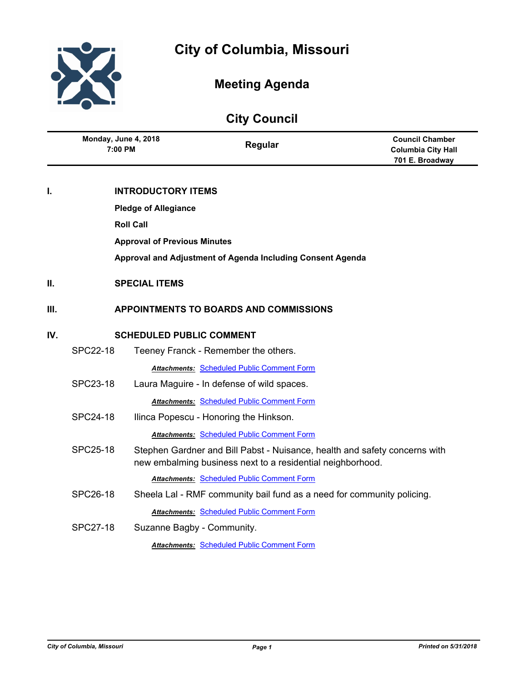

# **Meeting Agenda**

## **City Council**

|     | Monday, June 4, 2018<br>7:00 PM                            |                           | Regular                                                                                                                                  | <b>Council Chamber</b><br><b>Columbia City Hall</b><br>701 E. Broadway |
|-----|------------------------------------------------------------|---------------------------|------------------------------------------------------------------------------------------------------------------------------------------|------------------------------------------------------------------------|
| I.  |                                                            | <b>INTRODUCTORY ITEMS</b> |                                                                                                                                          |                                                                        |
|     | <b>Pledge of Allegiance</b>                                |                           |                                                                                                                                          |                                                                        |
|     | <b>Roll Call</b>                                           |                           |                                                                                                                                          |                                                                        |
|     | <b>Approval of Previous Minutes</b>                        |                           |                                                                                                                                          |                                                                        |
|     | Approval and Adjustment of Agenda Including Consent Agenda |                           |                                                                                                                                          |                                                                        |
| П.  | <b>SPECIAL ITEMS</b>                                       |                           |                                                                                                                                          |                                                                        |
| Ш.  |                                                            |                           | <b>APPOINTMENTS TO BOARDS AND COMMISSIONS</b>                                                                                            |                                                                        |
| IV. | <b>SCHEDULED PUBLIC COMMENT</b>                            |                           |                                                                                                                                          |                                                                        |
|     | <b>SPC22-18</b>                                            |                           | Teeney Franck - Remember the others.                                                                                                     |                                                                        |
|     |                                                            |                           | <b>Attachments: Scheduled Public Comment Form</b>                                                                                        |                                                                        |
|     | SPC23-18                                                   |                           | Laura Maguire - In defense of wild spaces.                                                                                               |                                                                        |
|     |                                                            |                           | <b>Attachments: Scheduled Public Comment Form</b>                                                                                        |                                                                        |
|     | SPC24-18                                                   |                           | Ilinca Popescu - Honoring the Hinkson.                                                                                                   |                                                                        |
|     |                                                            |                           | <b>Attachments: Scheduled Public Comment Form</b>                                                                                        |                                                                        |
|     | SPC25-18                                                   |                           | Stephen Gardner and Bill Pabst - Nuisance, health and safety concerns with<br>new embalming business next to a residential neighborhood. |                                                                        |
|     |                                                            |                           | <b>Attachments: Scheduled Public Comment Form</b>                                                                                        |                                                                        |
|     | <b>SPC26-18</b>                                            |                           | Sheela Lal - RMF community bail fund as a need for community policing.                                                                   |                                                                        |
|     |                                                            |                           | <b>Attachments: Scheduled Public Comment Form</b>                                                                                        |                                                                        |
|     | <b>SPC27-18</b>                                            |                           | Suzanne Bagby - Community.                                                                                                               |                                                                        |
|     |                                                            |                           | <b>Attachments: Scheduled Public Comment Form</b>                                                                                        |                                                                        |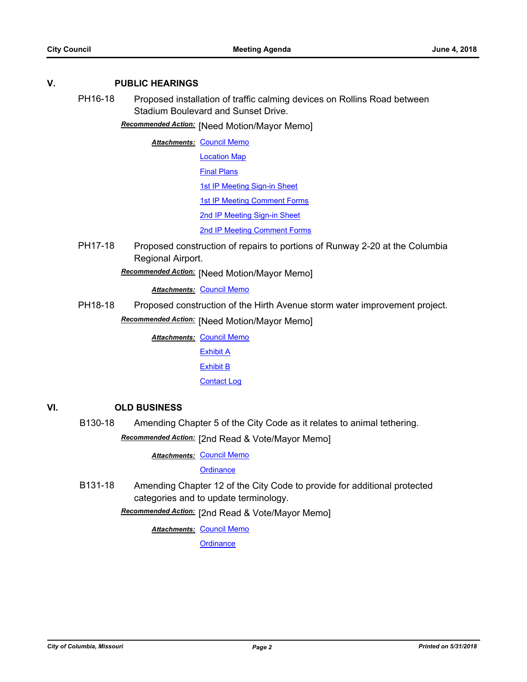### **V. PUBLIC HEARINGS**

PH16-18 Proposed installation of traffic calming devices on Rollins Road between Stadium Boulevard and Sunset Drive.

**Recommended Action:** [Need Motion/Mayor Memo]

**Attachments: [Council Memo](http://gocolumbiamo.legistar.com/gateway.aspx?M=F&ID=87fe7b9a-788e-4aec-9892-4a32477f09ee.docx)** [Location Map](http://gocolumbiamo.legistar.com/gateway.aspx?M=F&ID=64442333-95a8-4ec3-a373-119b8d9a558d.pdf)

[Final Plans](http://gocolumbiamo.legistar.com/gateway.aspx?M=F&ID=847f4dfa-3051-41fa-9e45-21a96f0e4eef.pdf)

1st **IP Meeting Sign-in Sheet** 

[1st IP Meeting Comment Forms](http://gocolumbiamo.legistar.com/gateway.aspx?M=F&ID=9960d16b-4bb5-4869-be69-6634fd101a54.pdf)

[2nd IP Meeting Sign-in Sheet](http://gocolumbiamo.legistar.com/gateway.aspx?M=F&ID=a2250f83-96a3-4bd8-a0c8-8c82ce12f3b1.pdf)

[2nd IP Meeting Comment Forms](http://gocolumbiamo.legistar.com/gateway.aspx?M=F&ID=f6f85aaf-22b5-4d2f-b17a-1fd5ba52d372.pdf)

PH17-18 Proposed construction of repairs to portions of Runway 2-20 at the Columbia Regional Airport.

[Need Motion/Mayor Memo] *Recommended Action:*

*Attachments:* [Council Memo](http://gocolumbiamo.legistar.com/gateway.aspx?M=F&ID=f489befe-d7d3-4b53-af3e-932405d4f50b.docx)

PH18-18 Proposed construction of the Hirth Avenue storm water improvement project. **Recommended Action:** [Need Motion/Mayor Memo]

> **Attachments: [Council Memo](http://gocolumbiamo.legistar.com/gateway.aspx?M=F&ID=77ee1984-0eb1-4f23-baff-6b02c426e7d7.docx)** [Exhibit A](http://gocolumbiamo.legistar.com/gateway.aspx?M=F&ID=92fb660e-28ff-4647-ac6a-4488685e7d76.pdf) [Exhibit B](http://gocolumbiamo.legistar.com/gateway.aspx?M=F&ID=6af49faa-64bc-41a2-8d4c-6006e8e50bd1.pdf) [Contact Log](http://gocolumbiamo.legistar.com/gateway.aspx?M=F&ID=dd631220-e895-4806-91e2-86a3afaa06b7.pdf)

#### **VI. OLD BUSINESS**

B130-18 Amending Chapter 5 of the City Code as it relates to animal tethering.

**Recommended Action:** [2nd Read & Vote/Mayor Memo]

**Attachments: [Council Memo](http://gocolumbiamo.legistar.com/gateway.aspx?M=F&ID=14ee6213-3adf-425f-bfa7-0bb33d29b099.docx)** 

**[Ordinance](http://gocolumbiamo.legistar.com/gateway.aspx?M=F&ID=d8d4d21f-e1fc-4e47-a20f-427e27d99dac.doc)** 

B131-18 Amending Chapter 12 of the City Code to provide for additional protected categories and to update terminology.

Recommended Action: [2nd Read & Vote/Mayor Memo]

**Attachments: [Council Memo](http://gocolumbiamo.legistar.com/gateway.aspx?M=F&ID=3458c2e4-1d7a-4783-bac5-ed015e991115.docx)**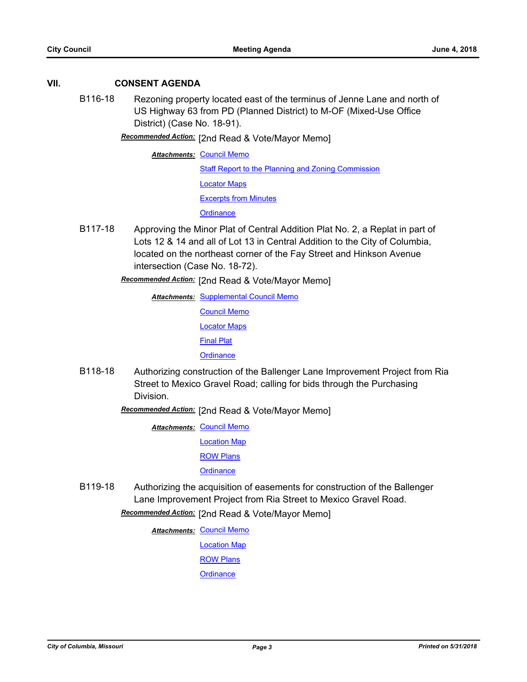#### **VII. CONSENT AGENDA**

B116-18 Rezoning property located east of the terminus of Jenne Lane and north of US Highway 63 from PD (Planned District) to M-OF (Mixed-Use Office District) (Case No. 18-91).

Recommended Action: [2nd Read & Vote/Mayor Memo]

**Attachments: [Council Memo](http://gocolumbiamo.legistar.com/gateway.aspx?M=F&ID=ab25a37a-93a6-4473-abad-f2e561023e26.docx)** [Staff Report to the Planning and Zoning Commission](http://gocolumbiamo.legistar.com/gateway.aspx?M=F&ID=5863f834-e8b1-43e1-b777-fc03eb74a7aa.docx) [Locator Maps](http://gocolumbiamo.legistar.com/gateway.aspx?M=F&ID=3aff3a33-ad91-4a25-a154-9d22d6ecdc13.pdf) [Excerpts from Minutes](http://gocolumbiamo.legistar.com/gateway.aspx?M=F&ID=89cb2db5-bb21-498d-8b7b-a67ece1f0b93.docx) **[Ordinance](http://gocolumbiamo.legistar.com/gateway.aspx?M=F&ID=ddf39b33-734e-40ea-af1a-664ef00b6bf8.doc)** 

B117-18 Approving the Minor Plat of Central Addition Plat No. 2, a Replat in part of Lots 12 & 14 and all of Lot 13 in Central Addition to the City of Columbia, located on the northeast corner of the Fay Street and Hinkson Avenue intersection (Case No. 18-72).

[2nd Read & Vote/Mayor Memo] *Recommended Action:*

**Attachments: [Supplemental Council Memo](http://gocolumbiamo.legistar.com/gateway.aspx?M=F&ID=7eb3acd6-efaa-42f8-b2a5-5f81e757c51e.docx)** [Council Memo](http://gocolumbiamo.legistar.com/gateway.aspx?M=F&ID=d578ed98-c2e2-43e2-a44c-3f7ffa320fa9.docx) [Locator Maps](http://gocolumbiamo.legistar.com/gateway.aspx?M=F&ID=5ccee91a-12c5-4b0f-a82b-ac50d49ff0eb.pdf) [Final Plat](http://gocolumbiamo.legistar.com/gateway.aspx?M=F&ID=5e610f57-c8c2-4ca4-904c-2ca3867be4ec.pdf) **[Ordinance](http://gocolumbiamo.legistar.com/gateway.aspx?M=F&ID=9b997e48-58d0-4f4b-85cf-b56205158ae2.doc)** 

- B118-18 Authorizing construction of the Ballenger Lane Improvement Project from Ria Street to Mexico Gravel Road; calling for bids through the Purchasing **Division** 
	- [2nd Read & Vote/Mayor Memo] *Recommended Action:*

**Attachments: [Council Memo](http://gocolumbiamo.legistar.com/gateway.aspx?M=F&ID=fd4e5651-42b9-4502-9313-17e4381a3308.docx)** [Location Map](http://gocolumbiamo.legistar.com/gateway.aspx?M=F&ID=fa67076d-adec-459b-adb5-ba68771821b3.pdf)

[ROW Plans](http://gocolumbiamo.legistar.com/gateway.aspx?M=F&ID=fb573347-ae3a-4f4e-8ea3-89139283a2f0.pdf)

**[Ordinance](http://gocolumbiamo.legistar.com/gateway.aspx?M=F&ID=bd59b728-a56e-40aa-8fde-4350eae159aa.doc)** 

B119-18 Authorizing the acquisition of easements for construction of the Ballenger Lane Improvement Project from Ria Street to Mexico Gravel Road.

Recommended Action: [2nd Read & Vote/Mayor Memo]

**Attachments: [Council Memo](http://gocolumbiamo.legistar.com/gateway.aspx?M=F&ID=a6b0b705-9b98-482c-bca0-33211b060eda.docx)** 

[Location Map](http://gocolumbiamo.legistar.com/gateway.aspx?M=F&ID=8f06ecac-1b97-446a-ab78-f8d383993b71.pdf)

[ROW Plans](http://gocolumbiamo.legistar.com/gateway.aspx?M=F&ID=d46883a8-1b67-453c-8f70-56c59fdde90f.pdf)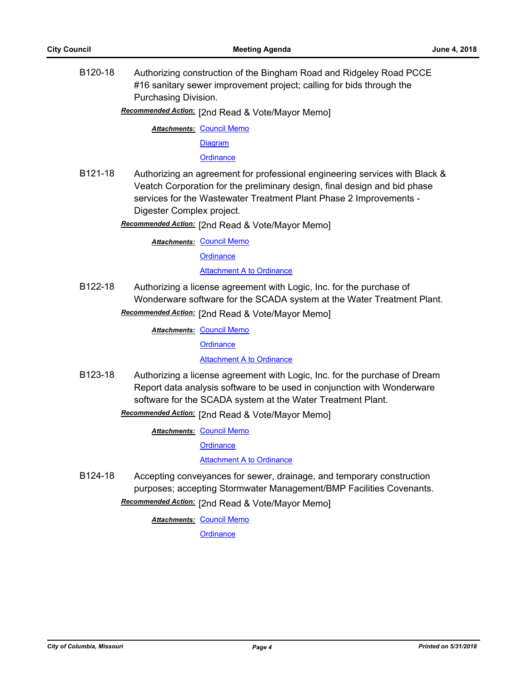B120-18 Authorizing construction of the Bingham Road and Ridgeley Road PCCE #16 sanitary sewer improvement project; calling for bids through the Purchasing Division.

Recommended Action: [2nd Read & Vote/Mayor Memo]

**Attachments: [Council Memo](http://gocolumbiamo.legistar.com/gateway.aspx?M=F&ID=02adff7f-d9d5-44a4-9607-70cca63e9aa7.docx)** 

[Diagram](http://gocolumbiamo.legistar.com/gateway.aspx?M=F&ID=acaf891a-f775-483a-84e1-672cff0808be.pdf)

**[Ordinance](http://gocolumbiamo.legistar.com/gateway.aspx?M=F&ID=28d4a65d-a740-43fd-892d-41547f44ba89.doc)** 

B121-18 Authorizing an agreement for professional engineering services with Black & Veatch Corporation for the preliminary design, final design and bid phase services for the Wastewater Treatment Plant Phase 2 Improvements - Digester Complex project.

**Recommended Action:** [2nd Read & Vote/Mayor Memo]

**Attachments: [Council Memo](http://gocolumbiamo.legistar.com/gateway.aspx?M=F&ID=2d309b7b-8196-4c61-8db2-32be2188bc48.docx)** 

**[Ordinance](http://gocolumbiamo.legistar.com/gateway.aspx?M=F&ID=aa750193-5b9f-4e6d-aba0-5e4873e51043.doc)** 

**[Attachment A to Ordinance](http://gocolumbiamo.legistar.com/gateway.aspx?M=F&ID=07849ed9-ea63-495f-b797-3a48a5a9d0f3.pdf)** 

B122-18 Authorizing a license agreement with Logic, Inc. for the purchase of Wonderware software for the SCADA system at the Water Treatment Plant.

Recommended Action: [2nd Read & Vote/Mayor Memo]

**Attachments: [Council Memo](http://gocolumbiamo.legistar.com/gateway.aspx?M=F&ID=18637d6a-6dd2-4524-aaa6-a24933f048f2.docx)** 

**[Ordinance](http://gocolumbiamo.legistar.com/gateway.aspx?M=F&ID=90615f02-271c-4f2b-9144-3e7005945595.doc)** 

**[Attachment A to Ordinance](http://gocolumbiamo.legistar.com/gateway.aspx?M=F&ID=7b786db2-3d6a-47f6-8ae3-87e27891baa8.pdf)** 

B123-18 Authorizing a license agreement with Logic, Inc. for the purchase of Dream Report data analysis software to be used in conjunction with Wonderware software for the SCADA system at the Water Treatment Plant.

Recommended Action: [2nd Read & Vote/Mayor Memo]

**Attachments: [Council Memo](http://gocolumbiamo.legistar.com/gateway.aspx?M=F&ID=f58e9d28-094f-449a-86b1-98dd3d37c9fc.docx)** 

**[Ordinance](http://gocolumbiamo.legistar.com/gateway.aspx?M=F&ID=283389eb-f929-437b-b989-ba42e69ca92e.doc)** 

[Attachment A to Ordinance](http://gocolumbiamo.legistar.com/gateway.aspx?M=F&ID=580198db-a228-40d0-9b0c-bf9f2bb20b9e.pdf)

B124-18 Accepting conveyances for sewer, drainage, and temporary construction purposes; accepting Stormwater Management/BMP Facilities Covenants.

**Recommended Action:** [2nd Read & Vote/Mayor Memo]

**Attachments: [Council Memo](http://gocolumbiamo.legistar.com/gateway.aspx?M=F&ID=788bf74a-469d-4762-b77f-3b248f2e852b.docx)**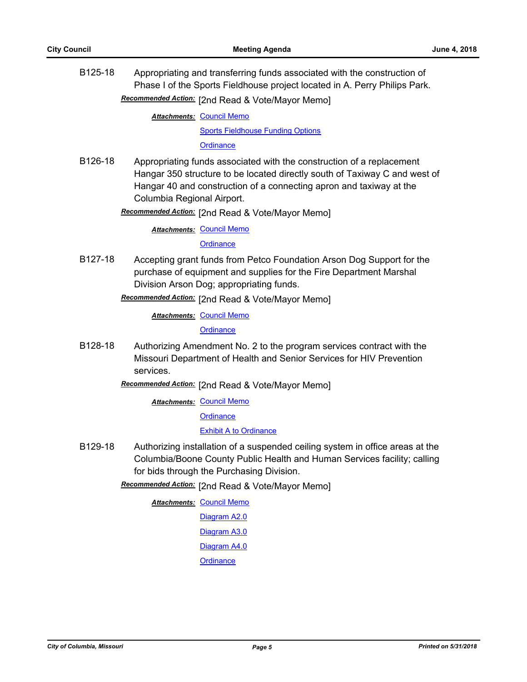B125-18 Appropriating and transferring funds associated with the construction of Phase I of the Sports Fieldhouse project located in A. Perry Philips Park.

Recommended Action: [2nd Read & Vote/Mayor Memo]

**Attachments: [Council Memo](http://gocolumbiamo.legistar.com/gateway.aspx?M=F&ID=86cc96a4-46af-48bb-9fd0-0b2bc7e28e54.docx)** 

[Sports Fieldhouse Funding Options](http://gocolumbiamo.legistar.com/gateway.aspx?M=F&ID=b89b589c-0f7e-4561-899b-d689c1ff72a0.docx)

**[Ordinance](http://gocolumbiamo.legistar.com/gateway.aspx?M=F&ID=d35bff67-4730-4ab6-bc4a-50b9aff745a2.doc)** 

B126-18 Appropriating funds associated with the construction of a replacement Hangar 350 structure to be located directly south of Taxiway C and west of Hangar 40 and construction of a connecting apron and taxiway at the Columbia Regional Airport.

[2nd Read & Vote/Mayor Memo] *Recommended Action:*

**Attachments: [Council Memo](http://gocolumbiamo.legistar.com/gateway.aspx?M=F&ID=77ea650f-5de0-476e-ae1e-b4c0a6aae087.docx)** 

#### **[Ordinance](http://gocolumbiamo.legistar.com/gateway.aspx?M=F&ID=75f95167-a9bd-40dd-abb2-9035b2cd1386.doc)**

B127-18 Accepting grant funds from Petco Foundation Arson Dog Support for the purchase of equipment and supplies for the Fire Department Marshal Division Arson Dog; appropriating funds.

Recommended Action: [2nd Read & Vote/Mayor Memo]

**Attachments: [Council Memo](http://gocolumbiamo.legistar.com/gateway.aspx?M=F&ID=2a5ce5a5-a7d9-43eb-b6eb-1c8ea6320b76.docx)** 

**[Ordinance](http://gocolumbiamo.legistar.com/gateway.aspx?M=F&ID=1d9a0c37-dcba-419a-a193-35bc5e49b4b1.doc)** 

B128-18 Authorizing Amendment No. 2 to the program services contract with the Missouri Department of Health and Senior Services for HIV Prevention services.

Recommended Action: [2nd Read & Vote/Mayor Memo]

**Attachments: [Council Memo](http://gocolumbiamo.legistar.com/gateway.aspx?M=F&ID=124d6925-bb5b-4050-b97d-d38f62513a20.docx)** 

**[Ordinance](http://gocolumbiamo.legistar.com/gateway.aspx?M=F&ID=68ff8cea-739a-4aa4-b974-0e801fbf43c8.doc)** 

[Exhibit A to Ordinance](http://gocolumbiamo.legistar.com/gateway.aspx?M=F&ID=9bfe0d45-99c4-42f6-a709-62a3596dcb7e.pdf)

B129-18 Authorizing installation of a suspended ceiling system in office areas at the Columbia/Boone County Public Health and Human Services facility; calling for bids through the Purchasing Division.

Recommended Action: [2nd Read & Vote/Mayor Memo]

**Attachments: [Council Memo](http://gocolumbiamo.legistar.com/gateway.aspx?M=F&ID=633c4736-5d25-4148-b35b-4f195de89069.docx)** 

[Diagram A2.0](http://gocolumbiamo.legistar.com/gateway.aspx?M=F&ID=1204a344-0646-4810-a690-91bca67fd811.pdf)

[Diagram A3.0](http://gocolumbiamo.legistar.com/gateway.aspx?M=F&ID=59ab012f-e3c5-463f-9687-5f984d3e8f9d.pdf)

[Diagram A4.0](http://gocolumbiamo.legistar.com/gateway.aspx?M=F&ID=39c4fd21-d9e8-46ef-a31d-546ad2b59168.pdf)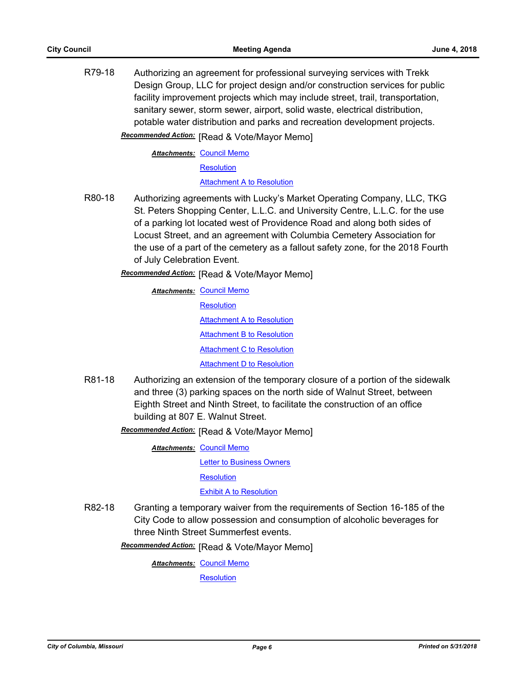R79-18 Authorizing an agreement for professional surveying services with Trekk Design Group, LLC for project design and/or construction services for public facility improvement projects which may include street, trail, transportation, sanitary sewer, storm sewer, airport, solid waste, electrical distribution, potable water distribution and parks and recreation development projects.

**Recommended Action:** [Read & Vote/Mayor Memo]

**Attachments: [Council Memo](http://gocolumbiamo.legistar.com/gateway.aspx?M=F&ID=563719d2-d915-49af-b5bf-8100d0c9234c.docx)** 

**[Resolution](http://gocolumbiamo.legistar.com/gateway.aspx?M=F&ID=f5a60769-d2f7-4be8-9903-84528112973b.doc)** 

[Attachment A to Resolution](http://gocolumbiamo.legistar.com/gateway.aspx?M=F&ID=f55a57aa-864f-4144-b1db-7b6f267a818e.pdf)

- R80-18 Authorizing agreements with Lucky's Market Operating Company, LLC, TKG St. Peters Shopping Center, L.L.C. and University Centre, L.L.C. for the use of a parking lot located west of Providence Road and along both sides of Locust Street, and an agreement with Columbia Cemetery Association for the use of a part of the cemetery as a fallout safety zone, for the 2018 Fourth of July Celebration Event.
	- **Recommended Action:** [Read & Vote/Mayor Memo]

**Attachments: [Council Memo](http://gocolumbiamo.legistar.com/gateway.aspx?M=F&ID=ca6c010e-0486-4820-9765-d019993f1daf.docx) [Resolution](http://gocolumbiamo.legistar.com/gateway.aspx?M=F&ID=72f118d0-783e-4fcb-ba93-83efb11c2252.doc)** [Attachment A to Resolution](http://gocolumbiamo.legistar.com/gateway.aspx?M=F&ID=bc78b1c2-9785-4e89-a7fa-36cac15d8ff0.pdf) [Attachment B to Resolution](http://gocolumbiamo.legistar.com/gateway.aspx?M=F&ID=955e7822-98dd-436f-85f8-664467dc3197.pdf) [Attachment C to Resolution](http://gocolumbiamo.legistar.com/gateway.aspx?M=F&ID=9e4f8a77-0a33-429f-b3cc-5c7f4778a1e7.pdf) [Attachment D to Resolution](http://gocolumbiamo.legistar.com/gateway.aspx?M=F&ID=b9e5c59c-dd45-4146-aaeb-c04223fa7ad8.pdf)

R81-18 Authorizing an extension of the temporary closure of a portion of the sidewalk and three (3) parking spaces on the north side of Walnut Street, between Eighth Street and Ninth Street, to facilitate the construction of an office building at 807 E. Walnut Street.

**Recommended Action: [Read & Vote/Mayor Memo]** 

**Attachments: [Council Memo](http://gocolumbiamo.legistar.com/gateway.aspx?M=F&ID=64a38d91-e62b-4fed-a2a4-c9aa004dbb68.docx)** 

[Letter to Business Owners](http://gocolumbiamo.legistar.com/gateway.aspx?M=F&ID=924de005-4528-4c58-a225-aec6f6286039.pdf)

**[Resolution](http://gocolumbiamo.legistar.com/gateway.aspx?M=F&ID=a079c857-a686-49e7-9e3e-12bdc3fcc71c.doc)** 

[Exhibit A to Resolution](http://gocolumbiamo.legistar.com/gateway.aspx?M=F&ID=3aecc048-6f74-40ff-bf9c-8396c79a83ea.pdf)

R82-18 Granting a temporary waiver from the requirements of Section 16-185 of the City Code to allow possession and consumption of alcoholic beverages for three Ninth Street Summerfest events.

**Recommended Action:** [Read & Vote/Mayor Memo]

**Attachments: [Council Memo](http://gocolumbiamo.legistar.com/gateway.aspx?M=F&ID=d6c683e9-0415-4ca0-9074-af31444dfe5b.docx)** 

**[Resolution](http://gocolumbiamo.legistar.com/gateway.aspx?M=F&ID=c47fccbf-dbab-4da6-b8ae-d71d701e1ea5.doc)**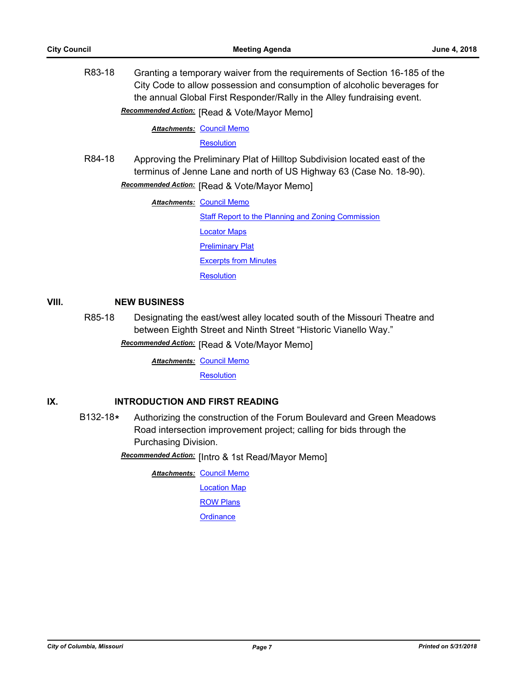R83-18 Granting a temporary waiver from the requirements of Section 16-185 of the City Code to allow possession and consumption of alcoholic beverages for the annual Global First Responder/Rally in the Alley fundraising event.

**Recommended Action:** [Read & Vote/Mayor Memo]

**Attachments: [Council Memo](http://gocolumbiamo.legistar.com/gateway.aspx?M=F&ID=c678ebc5-e065-4d76-a56e-448ae1342be7.docx)** 

**[Resolution](http://gocolumbiamo.legistar.com/gateway.aspx?M=F&ID=c9248f33-9cf3-48ba-a8e5-4bd45c37ab5a.doc)** 

R84-18 Approving the Preliminary Plat of Hilltop Subdivision located east of the terminus of Jenne Lane and north of US Highway 63 (Case No. 18-90).

**Recommended Action:** [Read & Vote/Mayor Memo]

**Attachments: [Council Memo](http://gocolumbiamo.legistar.com/gateway.aspx?M=F&ID=73048ac6-56e6-47c6-a044-e843ebcd35b1.docx)** 

[Staff Report to the Planning and Zoning Commission](http://gocolumbiamo.legistar.com/gateway.aspx?M=F&ID=20cea149-b3ef-4078-8dbf-e85ddd515cda.docx) [Locator Maps](http://gocolumbiamo.legistar.com/gateway.aspx?M=F&ID=5b8a85f4-d154-4766-8f6f-ea6595b5a139.pdf) [Preliminary Plat](http://gocolumbiamo.legistar.com/gateway.aspx?M=F&ID=18bec451-6697-4e27-84cc-3305da072563.pdf) [Excerpts from Minutes](http://gocolumbiamo.legistar.com/gateway.aspx?M=F&ID=8174c2d9-8421-4873-90e8-72f19bc16452.docx) **[Resolution](http://gocolumbiamo.legistar.com/gateway.aspx?M=F&ID=8c6a50f9-4a75-4d3e-8a20-560144791408.doc)** 

#### **VIII. NEW BUSINESS**

R85-18 Designating the east/west alley located south of the Missouri Theatre and between Eighth Street and Ninth Street "Historic Vianello Way."

**Recommended Action:** [Read & Vote/Mayor Memo]

**Attachments: [Council Memo](http://gocolumbiamo.legistar.com/gateway.aspx?M=F&ID=fe8dabc1-0115-490c-9b00-1b77924087ed.docx)** 

**[Resolution](http://gocolumbiamo.legistar.com/gateway.aspx?M=F&ID=4eea0586-5b00-4d48-897a-2b6442bd0572.doc)** 

### **IX. INTRODUCTION AND FIRST READING**

B132-18**\*** Authorizing the construction of the Forum Boulevard and Green Meadows Road intersection improvement project; calling for bids through the Purchasing Division.

**Recommended Action:** [Intro & 1st Read/Mayor Memo]

**Attachments: [Council Memo](http://gocolumbiamo.legistar.com/gateway.aspx?M=F&ID=559cd1a3-d2f6-43b0-b824-0ce8e8b31eee.docx)** 

[Location Map](http://gocolumbiamo.legistar.com/gateway.aspx?M=F&ID=6937938c-6a57-44e5-8fb6-be5f8a9880f5.pdf)

[ROW Plans](http://gocolumbiamo.legistar.com/gateway.aspx?M=F&ID=49bbb358-bee6-4124-bd5e-ffe332657f74.pdf)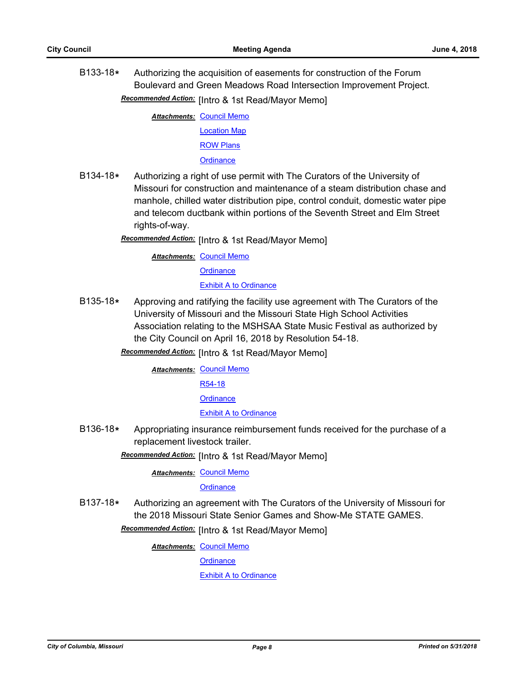B133-18**\*** Authorizing the acquisition of easements for construction of the Forum Boulevard and Green Meadows Road Intersection Improvement Project. Recommended Action: [Intro & 1st Read/Mayor Memo]

**Attachments: [Council Memo](http://gocolumbiamo.legistar.com/gateway.aspx?M=F&ID=9a084712-d1b4-46f6-828b-aae189587295.docx)** 

[Location Map](http://gocolumbiamo.legistar.com/gateway.aspx?M=F&ID=28b282c6-7d13-409e-a9de-02f4be8ce50e.pdf) [ROW Plans](http://gocolumbiamo.legistar.com/gateway.aspx?M=F&ID=8cfd9849-f322-4fa9-98a5-dd7185e9da9a.pdf) **[Ordinance](http://gocolumbiamo.legistar.com/gateway.aspx?M=F&ID=64aba75c-691d-4e2e-8eea-01ee027289c3.doc)** 

- B134-18**\*** Authorizing a right of use permit with The Curators of the University of Missouri for construction and maintenance of a steam distribution chase and manhole, chilled water distribution pipe, control conduit, domestic water pipe and telecom ductbank within portions of the Seventh Street and Elm Street rights-of-way.
	- Recommended Action: [Intro & 1st Read/Mayor Memo]

**Attachments: [Council Memo](http://gocolumbiamo.legistar.com/gateway.aspx?M=F&ID=65c2ae55-1f88-4248-80f0-2d791113b2a0.docx) [Ordinance](http://gocolumbiamo.legistar.com/gateway.aspx?M=F&ID=3eed57a5-8385-42cf-aa7d-90e4ccd886bd.doc)** [Exhibit A to Ordinance](http://gocolumbiamo.legistar.com/gateway.aspx?M=F&ID=c7c06d48-dcab-4d0a-b33f-8714c0b83caa.pdf)

B135-18**\*** Approving and ratifying the facility use agreement with The Curators of the University of Missouri and the Missouri State High School Activities Association relating to the MSHSAA State Music Festival as authorized by the City Council on April 16, 2018 by Resolution 54-18.

Recommended Action: [Intro & 1st Read/Mayor Memo]

**Attachments: [Council Memo](http://gocolumbiamo.legistar.com/gateway.aspx?M=F&ID=43379639-5378-4840-81f8-9f1a8af934ff.docx)** [R54-18](http://gocolumbiamo.legistar.com/gateway.aspx?M=F&ID=9ed3ed2f-6398-4610-b929-090ec8d17c3a.pdf) **[Ordinance](http://gocolumbiamo.legistar.com/gateway.aspx?M=F&ID=7cdf5987-8c90-45c2-9eba-e59804f91215.doc)** [Exhibit A to Ordinance](http://gocolumbiamo.legistar.com/gateway.aspx?M=F&ID=827b78d6-7b29-47bb-885b-3eccd7b0cd09.pdf)

B136-18**\*** Appropriating insurance reimbursement funds received for the purchase of a replacement livestock trailer.

Recommended Action: [Intro & 1st Read/Mayor Memo]

**Attachments: [Council Memo](http://gocolumbiamo.legistar.com/gateway.aspx?M=F&ID=18f20600-9c4c-43c9-b8e4-432a7eb87eeb.docx)** 

**[Ordinance](http://gocolumbiamo.legistar.com/gateway.aspx?M=F&ID=55ecdc2e-7859-4598-8685-4deb9cac9fba.doc)** 

B137-18**\*** Authorizing an agreement with The Curators of the University of Missouri for the 2018 Missouri State Senior Games and Show-Me STATE GAMES.

**Recommended Action:** [Intro & 1st Read/Mayor Memo]

**Attachments: [Council Memo](http://gocolumbiamo.legistar.com/gateway.aspx?M=F&ID=2be29f36-f859-4114-a12e-c6986dedb5f3.docx)** 

**[Ordinance](http://gocolumbiamo.legistar.com/gateway.aspx?M=F&ID=f695ac31-52db-4893-98a5-5aa7906fb59c.doc)** 

[Exhibit A to Ordinance](http://gocolumbiamo.legistar.com/gateway.aspx?M=F&ID=fbc811df-f4ce-4aba-9a6e-1a7749ab873d.pdf)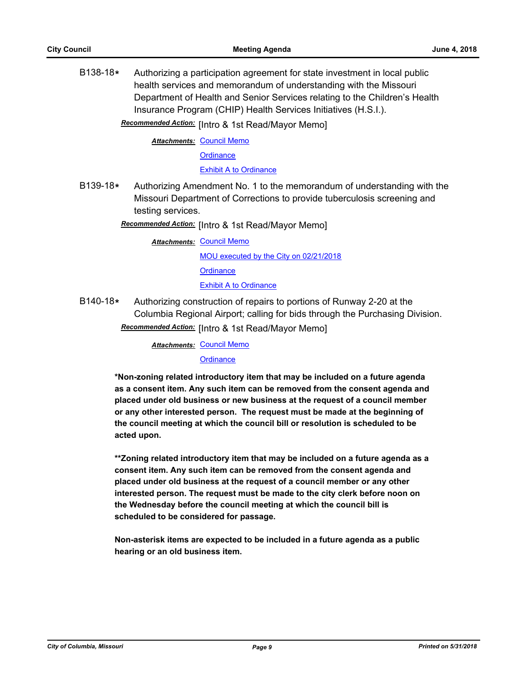B138-18**\*** Authorizing a participation agreement for state investment in local public health services and memorandum of understanding with the Missouri Department of Health and Senior Services relating to the Children's Health Insurance Program (CHIP) Health Services Initiatives (H.S.I.).

Recommended Action: [Intro & 1st Read/Mayor Memo]

**Attachments: [Council Memo](http://gocolumbiamo.legistar.com/gateway.aspx?M=F&ID=b4c67cdc-3b10-4d33-8cc2-59f70480f2f3.docx)** 

**[Ordinance](http://gocolumbiamo.legistar.com/gateway.aspx?M=F&ID=4dfe8304-d93d-4475-93a8-8494d5a59937.doc)** 

[Exhibit A to Ordinance](http://gocolumbiamo.legistar.com/gateway.aspx?M=F&ID=22281491-8a5c-4132-8688-00f8f504c429.pdf)

B139-18**\*** Authorizing Amendment No. 1 to the memorandum of understanding with the Missouri Department of Corrections to provide tuberculosis screening and testing services.

Recommended Action: [Intro & 1st Read/Mayor Memo]

**Attachments: [Council Memo](http://gocolumbiamo.legistar.com/gateway.aspx?M=F&ID=059511dc-b17e-4952-80a0-fe54426fe345.docx)** [MOU executed by the City on 02/21/2018](http://gocolumbiamo.legistar.com/gateway.aspx?M=F&ID=7a186773-ca16-4cc8-8b89-f9fda750c3d7.pdf) **[Ordinance](http://gocolumbiamo.legistar.com/gateway.aspx?M=F&ID=07aa0d26-6cc4-4737-8e71-ecf3f4251149.doc)** [Exhibit A to Ordinance](http://gocolumbiamo.legistar.com/gateway.aspx?M=F&ID=1bf473ad-487e-4a62-91c2-0f4ba64173e5.pdf)

B140-18**\*** Authorizing construction of repairs to portions of Runway 2-20 at the Columbia Regional Airport; calling for bids through the Purchasing Division. **Recommended Action:** [Intro & 1st Read/Mayor Memo]

**Attachments: [Council Memo](http://gocolumbiamo.legistar.com/gateway.aspx?M=F&ID=836631ce-7ad3-41d1-8074-9c1345c3eef5.docx)** 

**[Ordinance](http://gocolumbiamo.legistar.com/gateway.aspx?M=F&ID=44f808c9-4f1d-45fa-9920-a9cddadb17fb.doc)** 

**\*Non-zoning related introductory item that may be included on a future agenda as a consent item. Any such item can be removed from the consent agenda and placed under old business or new business at the request of a council member or any other interested person. The request must be made at the beginning of the council meeting at which the council bill or resolution is scheduled to be acted upon.** 

**\*\*Zoning related introductory item that may be included on a future agenda as a consent item. Any such item can be removed from the consent agenda and placed under old business at the request of a council member or any other interested person. The request must be made to the city clerk before noon on the Wednesday before the council meeting at which the council bill is scheduled to be considered for passage.**

**Non-asterisk items are expected to be included in a future agenda as a public hearing or an old business item.**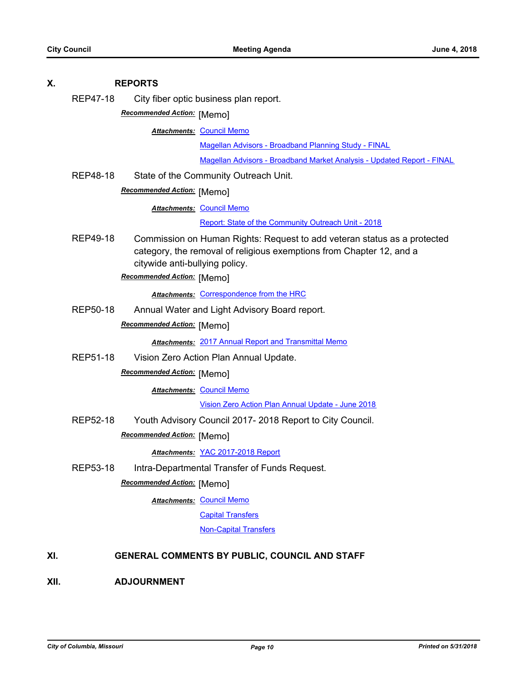| Χ.   |                 | <b>REPORTS</b>                                                                                                                                                                                                   |
|------|-----------------|------------------------------------------------------------------------------------------------------------------------------------------------------------------------------------------------------------------|
|      | <b>REP47-18</b> | City fiber optic business plan report.                                                                                                                                                                           |
|      |                 | Recommended Action: [Memo]                                                                                                                                                                                       |
|      |                 | <b>Attachments: Council Memo</b>                                                                                                                                                                                 |
|      |                 | <b>Magellan Advisors - Broadband Planning Study - FINAL</b>                                                                                                                                                      |
|      |                 | Magellan Advisors - Broadband Market Analysis - Updated Report - FINAL                                                                                                                                           |
|      | <b>REP48-18</b> | State of the Community Outreach Unit.                                                                                                                                                                            |
|      |                 | Recommended Action: [Memo]                                                                                                                                                                                       |
|      |                 | <b>Attachments: Council Memo</b>                                                                                                                                                                                 |
|      |                 | Report: State of the Community Outreach Unit - 2018                                                                                                                                                              |
|      | REP49-18        | Commission on Human Rights: Request to add veteran status as a protected<br>category, the removal of religious exemptions from Chapter 12, and a<br>citywide anti-bullying policy.<br>Recommended Action: [Memo] |
|      |                 | Attachments: Correspondence from the HRC                                                                                                                                                                         |
|      | <b>REP50-18</b> | Annual Water and Light Advisory Board report.                                                                                                                                                                    |
|      |                 | Recommended Action: [Memo]                                                                                                                                                                                       |
|      |                 | <b>Attachments: 2017 Annual Report and Transmittal Memo</b>                                                                                                                                                      |
|      | <b>REP51-18</b> | Vision Zero Action Plan Annual Update.                                                                                                                                                                           |
|      |                 | Recommended Action: [Memo]                                                                                                                                                                                       |
|      |                 | <b>Attachments: Council Memo</b>                                                                                                                                                                                 |
|      |                 | Vision Zero Action Plan Annual Update - June 2018                                                                                                                                                                |
|      | REP52-18        | Youth Advisory Council 2017-2018 Report to City Council.                                                                                                                                                         |
|      |                 | Recommended Action: [Memo]                                                                                                                                                                                       |
|      |                 | Attachments: YAC 2017-2018 Report                                                                                                                                                                                |
|      | <b>REP53-18</b> | Intra-Departmental Transfer of Funds Request.                                                                                                                                                                    |
|      |                 | Recommended Action: [Memo]                                                                                                                                                                                       |
|      |                 | <b>Attachments: Council Memo</b>                                                                                                                                                                                 |
|      |                 | <b>Capital Transfers</b>                                                                                                                                                                                         |
|      |                 | <b>Non-Capital Transfers</b>                                                                                                                                                                                     |
| XI.  |                 | GENERAL COMMENTS BY PUBLIC, COUNCIL AND STAFF                                                                                                                                                                    |
| XII. |                 | <b>ADJOURNMENT</b>                                                                                                                                                                                               |